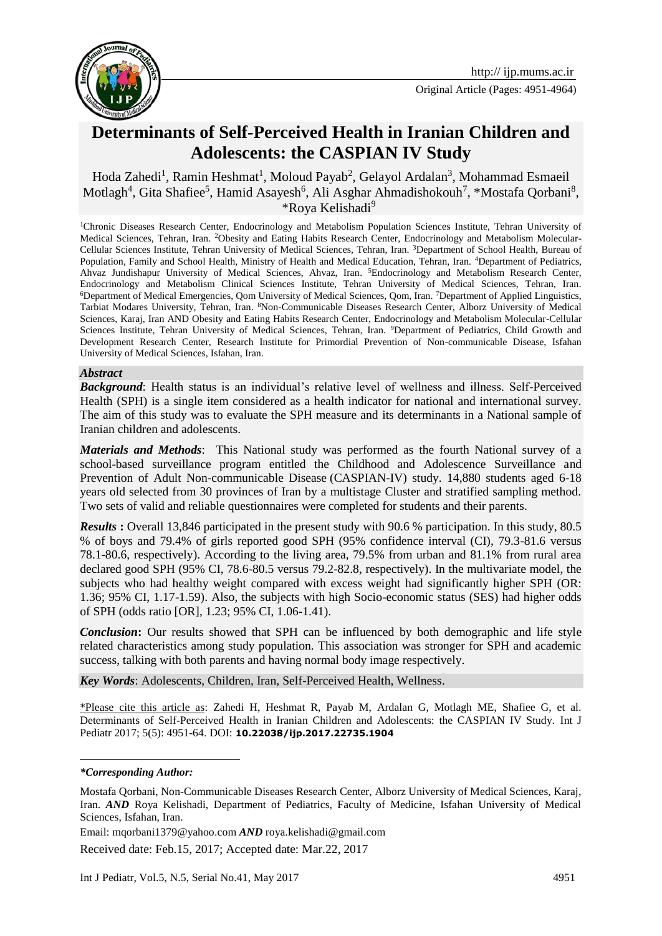

Original Article (Pages: 4951-4964)

# **Determinants of Self-Perceived Health in Iranian Children and Adolescents: the CASPIAN IV Study**

Hoda Zahedi<sup>1</sup>, Ramin Heshmat<sup>1</sup>, Moloud Payab<sup>2</sup>, Gelayol Ardalan<sup>3</sup>, Mohammad Esmaeil Motlagh<sup>4</sup>, Gita Shafiee<sup>5</sup>, Hamid Asayesh<sup>6</sup>, Ali Asghar Ahmadishokouh<sup>7</sup>, \*Mostafa Qorbani<sup>8</sup>, *\**Roya Kelishadi<sup>9</sup>

<sup>1</sup>Chronic Diseases Research Center, Endocrinology and Metabolism Population Sciences Institute, Tehran University of Medical Sciences, Tehran, Iran. 2Obesity and Eating Habits Research Center, Endocrinology and Metabolism Molecular-Cellular Sciences Institute, Tehran University of Medical Sciences, Tehran, Iran. <sup>3</sup>Department of School Health, Bureau of Population, Family and School Health, Ministry of Health and Medical Education, Tehran, Iran. <sup>4</sup>Department of Pediatrics, Ahvaz Jundishapur University of Medical Sciences, Ahvaz, Iran. <sup>5</sup>Endocrinology and Metabolism Research Center, Endocrinology and Metabolism Clinical Sciences Institute, Tehran University of Medical Sciences, Tehran, Iran. <sup>6</sup>Department of Medical Emergencies, Qom University of Medical Sciences, Qom, Iran. <sup>7</sup>Department of Applied Linguistics, Tarbiat Modares University, Tehran, Iran. <sup>8</sup>Non-Communicable Diseases Research Center, Alborz University of Medical Sciences, Karaj, Iran AND Obesity and Eating Habits Research Center, Endocrinology and Metabolism Molecular-Cellular Sciences Institute, Tehran University of Medical Sciences, Tehran, Iran. <sup>9</sup>Department of Pediatrics, Child Growth and Development Research Center, Research Institute for Primordial Prevention of Non-communicable Disease, Isfahan University of Medical Sciences, Isfahan, Iran.

#### *Abstract*

*Background*: Health status is an individual's relative level of wellness and illness. Self-Perceived Health (SPH) is a single item considered as a health indicator for national and international survey. The aim of this study was to evaluate the SPH measure and its determinants in a National sample of Iranian children and adolescents.

*Materials and Methods*: This National study was performed as the fourth National survey of a school-based surveillance program entitled the Childhood and Adolescence Surveillance and Prevention of Adult Non-communicable Disease (CASPIAN-IV) study. 14,880 students aged 6-18 years old selected from 30 provinces of Iran by a multistage Cluster and stratified sampling method. Two sets of valid and reliable questionnaires were completed for students and their parents.

*Results* **:** Overall 13,846 participated in the present study with 90.6 % participation. In this study, 80.5 % of boys and 79.4% of girls reported good SPH (95% confidence interval (CI), 79.3-81.6 versus 78.1-80.6, respectively). According to the living area, 79.5% from urban and 81.1% from rural area declared good SPH (95% CI, 78.6-80.5 versus 79.2-82.8, respectively). In the multivariate model, the subjects who had healthy weight compared with excess weight had significantly higher SPH (OR: 1.36; 95% CI, 1.17-1.59). Also, the subjects with high Socio-economic status (SES) had higher odds of SPH (odds ratio [OR], 1.23; 95% CI, 1.06-1.41).

*Conclusion*: Our results showed that SPH can be influenced by both demographic and life style related characteristics among study population. This association was stronger for SPH and academic success, talking with both parents and having normal body image respectively.

*Key Words*: Adolescents, Children, Iran, Self-Perceived Health, Wellness.

\*Please cite this article as: Zahedi H, Heshmat R, Payab M, Ardalan G, Motlagh ME, Shafiee G, et al. Determinants of Self-Perceived Health in Iranian Children and Adolescents: the CASPIAN IV Study. Int J Pediatr 2017; 5(5): 4951-64. DOI: **10.22038/ijp.2017.22735.1904**

1

Email: mqorbani1379@yahoo.com *AND* roya.kelishadi@gmail.com

Received date: Feb.15, 2017; Accepted date: Mar.22, 2017

*<sup>\*</sup>Corresponding Author:*

Mostafa Qorbani, Non-Communicable Diseases Research Center, Alborz University of Medical Sciences, Karaj, Iran. *AND* Roya Kelishadi, Department of Pediatrics, Faculty of Medicine, Isfahan University of Medical Sciences, Isfahan, Iran.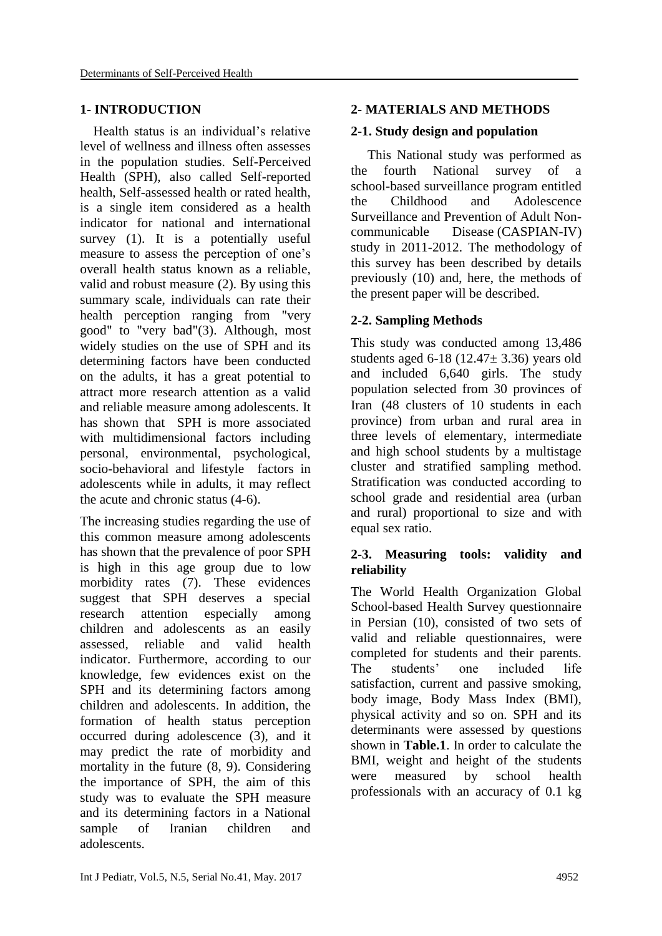#### **1- INTRODUCTION**

 Health status is an individual's relative level of wellness and illness often assesses in the population studies. Self-Perceived Health (SPH), also called Self-reported health, Self-assessed health or rated health, is a single item considered as a health indicator for national and international survey (1). It is a potentially useful measure to assess the perception of one's overall health status known as a reliable, valid and robust measure (2). By using this summary scale, individuals can rate their health perception ranging from "very good" to "very bad"(3). Although, most widely studies on the use of SPH and its determining factors have been conducted on the adults, it has a great potential to attract more research attention as a valid and reliable measure among adolescents. It has shown that SPH is more associated with multidimensional factors including personal, environmental, psychological, socio-behavioral and lifestyle factors in adolescents while in adults, it may reflect the acute and chronic status (4-6).

The increasing studies regarding the use of this common measure among adolescents has shown that the prevalence of poor SPH is high in this age group due to low morbidity rates (7). These evidences suggest that SPH deserves a special research attention especially among children and adolescents as an easily assessed, reliable and valid health indicator. Furthermore, according to our knowledge, few evidences exist on the SPH and its determining factors among children and adolescents. In addition, the formation of health status perception occurred during adolescence (3), and it may predict the rate of morbidity and mortality in the future (8, 9). Considering the importance of SPH, the aim of this study was to evaluate the SPH measure and its determining factors in a National sample of Iranian children and adolescents.

## **2- MATERIALS AND METHODS**

#### **2-1. Study design and population**

 This National study was performed as the fourth National survey of a school-based surveillance program entitled the Childhood and Adolescence Surveillance and Prevention of Adult Noncommunicable Disease (CASPIAN-IV) study in 2011-2012. The methodology of this survey has been described by details previously (10) and, here, the methods of the present paper will be described.

## **2-2. Sampling Methods**

This study was conducted among 13,486 students aged  $6-18$  (12.47 $\pm$  3.36) years old and included 6,640 girls. The study population selected from 30 provinces of Iran (48 clusters of 10 students in each province) from urban and rural area in three levels of elementary, intermediate and high school students by a multistage cluster and stratified sampling method. Stratification was conducted according to school grade and residential area (urban and rural) proportional to size and with equal sex ratio.

#### **2-3. Measuring tools: validity and reliability**

The World Health Organization Global School-based Health Survey questionnaire in Persian (10), consisted of two sets of valid and reliable questionnaires, were completed for students and their parents. The students' one included life satisfaction, current and passive smoking, body image, Body Mass Index (BMI), physical activity and so on. SPH and its determinants were assessed by questions shown in **Table.1**. In order to calculate the BMI, weight and height of the students were measured by school health professionals with an accuracy of 0.1 kg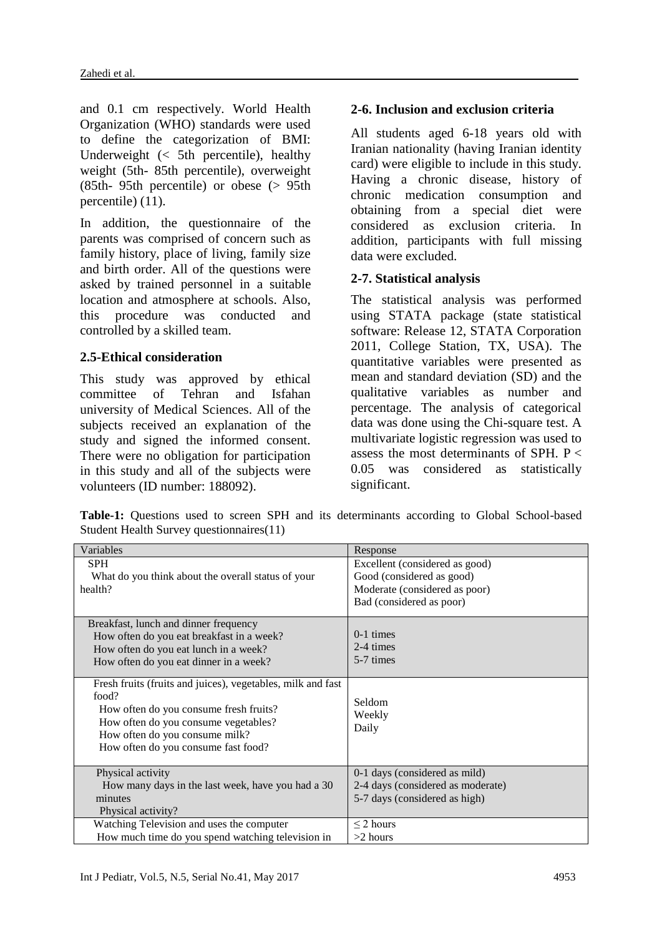and 0.1 cm respectively. World Health Organization (WHO) standards were used to define the categorization of BMI: Underweight  $\left( \leq 5$ th percentile), healthy weight (5th- 85th percentile), overweight (85th- 95th percentile) or obese (> 95th percentile) (11).

In addition, the questionnaire of the parents was comprised of concern such as family history, place of living, family size and birth order. All of the questions were asked by trained personnel in a suitable location and atmosphere at schools. Also, this procedure was conducted and controlled by a skilled team.

# **2.5-Ethical consideration**

This study was approved by ethical committee of Tehran and Isfahan university of Medical Sciences. All of the subjects received an explanation of the study and signed the informed consent. There were no obligation for participation in this study and all of the subjects were volunteers (ID number: 188092).

# **2-6. Inclusion and exclusion criteria**

All students aged 6-18 years old with Iranian nationality (having Iranian identity card) were eligible to include in this study. Having a chronic disease, history of chronic medication consumption and obtaining from a special diet were considered as exclusion criteria. In addition, participants with full missing data were excluded.

# **2-7. Statistical analysis**

The statistical analysis was performed using STATA package (state statistical software: Release 12, STATA Corporation 2011, College Station, TX, USA). The quantitative variables were presented as mean and standard deviation (SD) and the qualitative variables as number and percentage. The analysis of categorical data was done using the Chi-square test. A multivariate logistic regression was used to assess the most determinants of SPH.  $P \leq$ 0.05 was considered as statistically significant.

**Table-1:** Questions used to screen SPH and its determinants according to Global School-based Student Health Survey questionnaires(11)

| Variables                                                   | Response                          |
|-------------------------------------------------------------|-----------------------------------|
| <b>SPH</b>                                                  | Excellent (considered as good)    |
|                                                             |                                   |
| What do you think about the overall status of your          | Good (considered as good)         |
| health?                                                     | Moderate (considered as poor)     |
|                                                             | Bad (considered as poor)          |
| Breakfast, lunch and dinner frequency                       |                                   |
| How often do you eat breakfast in a week?                   | $0-1$ times                       |
| How often do you eat lunch in a week?                       | 2-4 times                         |
| How often do you eat dinner in a week?                      | 5-7 times                         |
|                                                             |                                   |
| Fresh fruits (fruits and juices), vegetables, milk and fast |                                   |
| food?                                                       | Seldom                            |
| How often do you consume fresh fruits?                      |                                   |
| How often do you consume vegetables?                        | Weekly                            |
| How often do you consume milk?                              | Daily                             |
| How often do you consume fast food?                         |                                   |
|                                                             |                                   |
| Physical activity                                           | 0-1 days (considered as mild)     |
| How many days in the last week, have you had a 30           | 2-4 days (considered as moderate) |
| minutes                                                     | 5-7 days (considered as high)     |
| Physical activity?                                          |                                   |
| Watching Television and uses the computer                   | $\leq$ 2 hours                    |
| How much time do you spend watching television in           | $>2$ hours                        |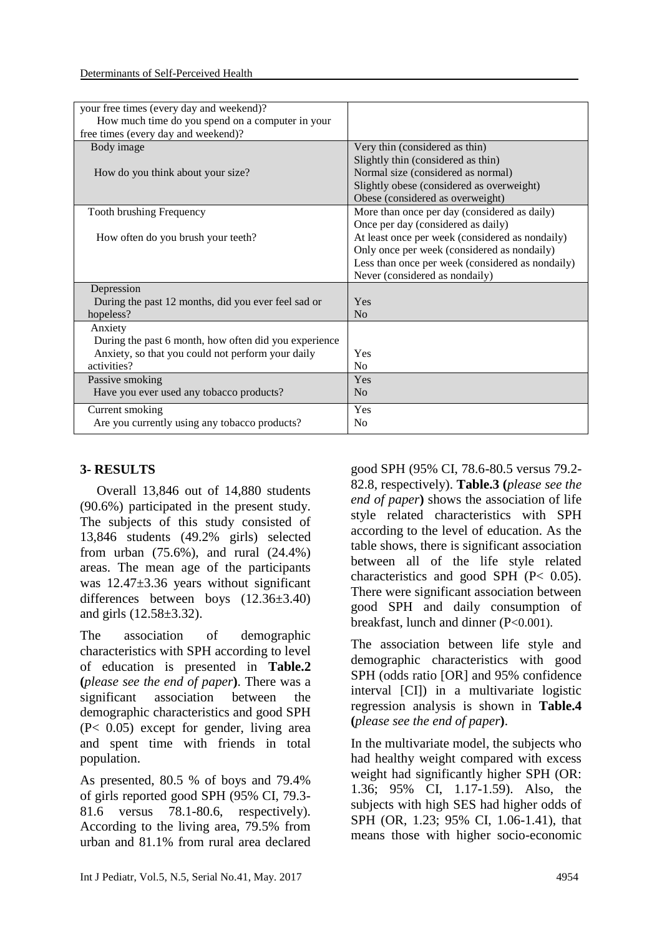| your free times (every day and weekend)?              |                                                  |
|-------------------------------------------------------|--------------------------------------------------|
| How much time do you spend on a computer in your      |                                                  |
|                                                       |                                                  |
| free times (every day and weekend)?                   |                                                  |
| Body image                                            | Very thin (considered as thin)                   |
|                                                       | Slightly thin (considered as thin)               |
| How do you think about your size?                     | Normal size (considered as normal)               |
|                                                       | Slightly obese (considered as overweight)        |
|                                                       | Obese (considered as overweight)                 |
| Tooth brushing Frequency                              | More than once per day (considered as daily)     |
|                                                       | Once per day (considered as daily)               |
| How often do you brush your teeth?                    | At least once per week (considered as nondaily)  |
|                                                       | Only once per week (considered as nondaily)      |
|                                                       | Less than once per week (considered as nondaily) |
|                                                       | Never (considered as nondaily)                   |
| Depression                                            |                                                  |
| During the past 12 months, did you ever feel sad or   | Yes                                              |
| hopeless?                                             | No                                               |
| Anxiety                                               |                                                  |
|                                                       |                                                  |
| During the past 6 month, how often did you experience |                                                  |
| Anxiety, so that you could not perform your daily     | Yes                                              |
| activities?                                           | N <sub>0</sub>                                   |
| Passive smoking                                       | Yes                                              |
| Have you ever used any tobacco products?              | N <sub>0</sub>                                   |
| Current smoking                                       | Yes                                              |
| Are you currently using any tobacco products?         | N <sub>0</sub>                                   |

# **3- RESULTS**

 Overall 13,846 out of 14,880 students (90.6%) participated in the present study. The subjects of this study consisted of 13,846 students (49.2% girls) selected from urban (75.6%), and rural (24.4%) areas. The mean age of the participants was 12.47±3.36 years without significant differences between boys (12.36±3.40) and girls (12.58±3.32).

The association of demographic characteristics with SPH according to level of education is presented in **Table.2 (***please see the end of paper***)**. There was a significant association between the demographic characteristics and good SPH (P< 0.05) except for gender, living area and spent time with friends in total population.

As presented, 80.5 % of boys and 79.4% of girls reported good SPH (95% CI, 79.3- 81.6 versus 78.1-80.6, respectively). According to the living area, 79.5% from urban and 81.1% from rural area declared good SPH (95% CI, 78.6-80.5 versus 79.2- 82.8, respectively). **Table.3 (***please see the end of paper***)** shows the association of life style related characteristics with SPH according to the level of education. As the table shows, there is significant association between all of the life style related characteristics and good SPH (P< 0.05). There were significant association between good SPH and daily consumption of breakfast, lunch and dinner (P<0.001).

The association between life style and demographic characteristics with good SPH (odds ratio [OR] and 95% confidence interval [CI]) in a multivariate logistic regression analysis is shown in **Table.4 (***please see the end of paper***)**.

In the multivariate model, the subjects who had healthy weight compared with excess weight had significantly higher SPH (OR: 1.36; 95% CI, 1.17-1.59). Also, the subjects with high SES had higher odds of SPH (OR, 1.23; 95% CI, 1.06-1.41), that means those with higher socio-economic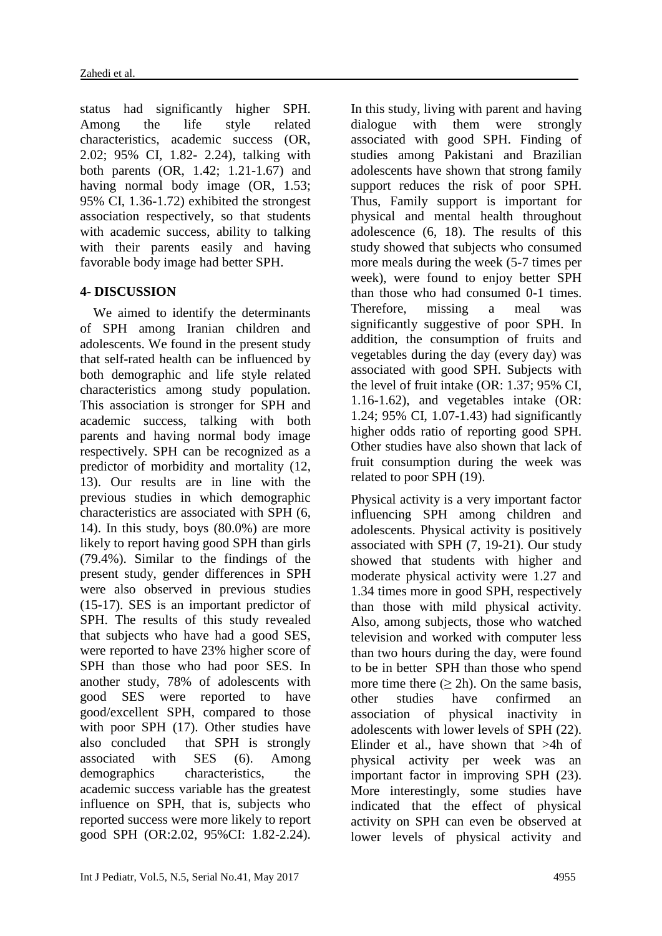status had significantly higher SPH. Among the life style related characteristics, academic success (OR, 2.02; 95% CI, 1.82- 2.24), talking with both parents (OR, 1.42; 1.21-1.67) and having normal body image (OR, 1.53; 95% CI, 1.36-1.72) exhibited the strongest association respectively, so that students with academic success, ability to talking with their parents easily and having favorable body image had better SPH.

# **4- DISCUSSION**

 We aimed to identify the determinants of SPH among Iranian children and adolescents. We found in the present study that self-rated health can be influenced by both demographic and life style related characteristics among study population. This association is stronger for SPH and academic success, talking with both parents and having normal body image respectively. SPH can be recognized as a predictor of morbidity and mortality (12, 13). Our results are in line with the previous studies in which demographic characteristics are associated with SPH (6, 14). In this study, boys (80.0%) are more likely to report having good SPH than girls (79.4%). Similar to the findings of the present study, gender differences in SPH were also observed in previous studies (15-17). SES is an important predictor of SPH. The results of this study revealed that subjects who have had a good SES, were reported to have 23% higher score of SPH than those who had poor SES. In another study, 78% of adolescents with good SES were reported to have good/excellent SPH, compared to those with poor SPH (17). Other studies have also concluded that SPH is strongly associated with SES (6). Among demographics characteristics, the academic success variable has the greatest influence on SPH, that is, subjects who reported success were more likely to report good SPH (OR:2.02, 95%CI: 1.82-2.24).

more meals during the week (5-7 times per week), were found to enjoy better SPH than those who had consumed 0-1 times. Therefore, missing a meal was significantly suggestive of poor SPH. In addition, the consumption of fruits and vegetables during the day (every day) was associated with good SPH. Subjects with the level of fruit intake (OR: 1.37; 95% CI, 1.16-1.62), and vegetables intake (OR: 1.24; 95% CI, 1.07-1.43) had significantly higher odds ratio of reporting good SPH. Other studies have also shown that lack of fruit consumption during the week was related to poor SPH (19). Physical activity is a very important factor influencing SPH among children and adolescents. Physical activity is positively

In this study, living with parent and having dialogue with them were strongly associated with good SPH. Finding of studies among Pakistani and Brazilian adolescents have shown that strong family support reduces the risk of poor SPH. Thus, Family support is important for physical and mental health throughout adolescence (6, 18). The results of this study showed that subjects who consumed

associated with SPH (7, 19-21). Our study showed that students with higher and moderate physical activity were 1.27 and 1.34 times more in good SPH, respectively than those with mild physical activity. Also, among subjects, those who watched television and worked with computer less than two hours during the day, were found to be in better SPH than those who spend more time there  $(> 2h)$ . On the same basis, other studies have confirmed an association of physical inactivity in adolescents with lower levels of SPH (22). Elinder et al., have shown that >4h of physical activity per week was an important factor in improving SPH (23). More interestingly, some studies have indicated that the effect of physical activity on SPH can even be observed at lower levels of physical activity and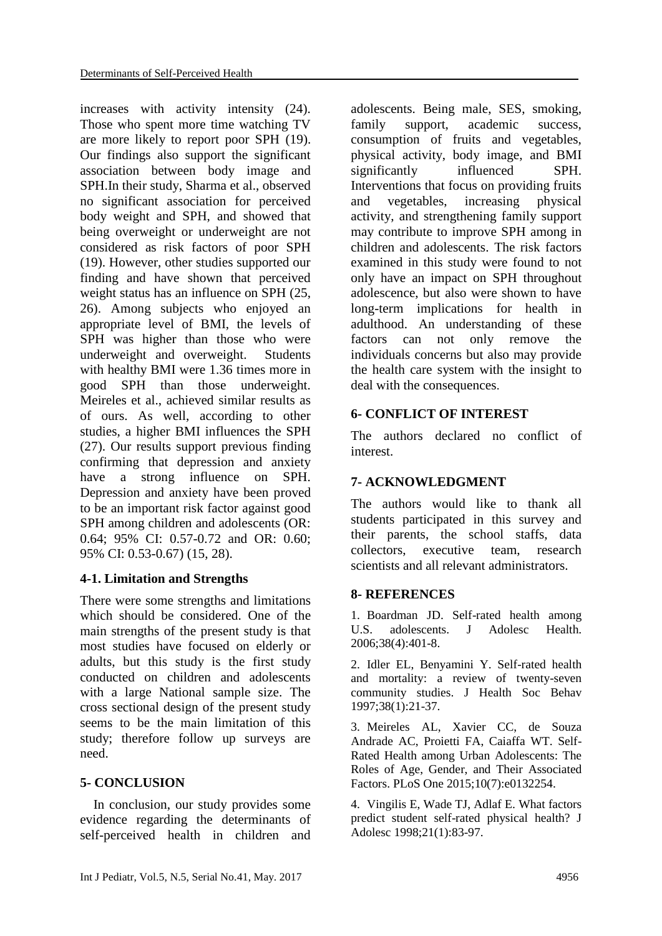increases with activity intensity (24). Those who spent more time watching TV are more likely to report poor SPH (19). Our findings also support the significant association between body image and SPH.In their study, Sharma et al., observed no significant association for perceived body weight and SPH, and showed that being overweight or underweight are not considered as risk factors of poor SPH (19). However, other studies supported our finding and have shown that perceived weight status has an influence on SPH (25, 26). Among subjects who enjoyed an appropriate level of BMI, the levels of SPH was higher than those who were underweight and overweight. Students with healthy BMI were 1.36 times more in good SPH than those underweight. Meireles et al., achieved similar results as of ours. As well, according to other studies, a higher BMI influences the SPH (27). Our results support previous finding confirming that depression and anxiety have a strong influence on SPH. Depression and anxiety have been proved to be an important risk factor against good SPH among children and adolescents (OR: 0.64; 95% CI: 0.57-0.72 and OR: 0.60; 95% CI: 0.53-0.67) (15, 28).

## **4-1. Limitation and Strengths**

There were some strengths and limitations which should be considered. One of the main strengths of the present study is that most studies have focused on elderly or adults, but this study is the first study conducted on children and adolescents with a large National sample size. The cross sectional design of the present study seems to be the main limitation of this study; therefore follow up surveys are need.

## **5- CONCLUSION**

 In conclusion, our study provides some evidence regarding the determinants of self-perceived health in children and adolescents. Being male, SES, smoking, family support, academic success, consumption of fruits and vegetables, physical activity, body image, and BMI significantly influenced SPH. Interventions that focus on providing fruits and vegetables, increasing physical activity, and strengthening family support may contribute to improve SPH among in children and adolescents. The risk factors examined in this study were found to not only have an impact on SPH throughout adolescence, but also were shown to have long-term implications for health in adulthood. An understanding of these factors can not only remove the individuals concerns but also may provide the health care system with the insight to deal with the consequences.

#### **6- CONFLICT OF INTEREST**

The authors declared no conflict of interest.

## **7- ACKNOWLEDGMENT**

The authors would like to thank all students participated in this survey and their parents, the school staffs, data collectors, executive team, research scientists and all relevant administrators.

## **8- REFERENCES**

1. Boardman JD. Self-rated health among U.S. adolescents. J Adolesc Health. 2006;38(4):401-8.

2. Idler EL, Benyamini Y. Self-rated health and mortality: a review of twenty-seven community studies. J Health Soc Behav 1997;38(1):21-37.

3. Meireles AL, Xavier CC, de Souza Andrade AC, Proietti FA, Caiaffa WT. Self-Rated Health among Urban Adolescents: The Roles of Age, Gender, and Their Associated Factors. PLoS One 2015;10(7):e0132254.

4. Vingilis E, Wade TJ, Adlaf E. What factors predict student self-rated physical health? J Adolesc 1998;21(1):83-97.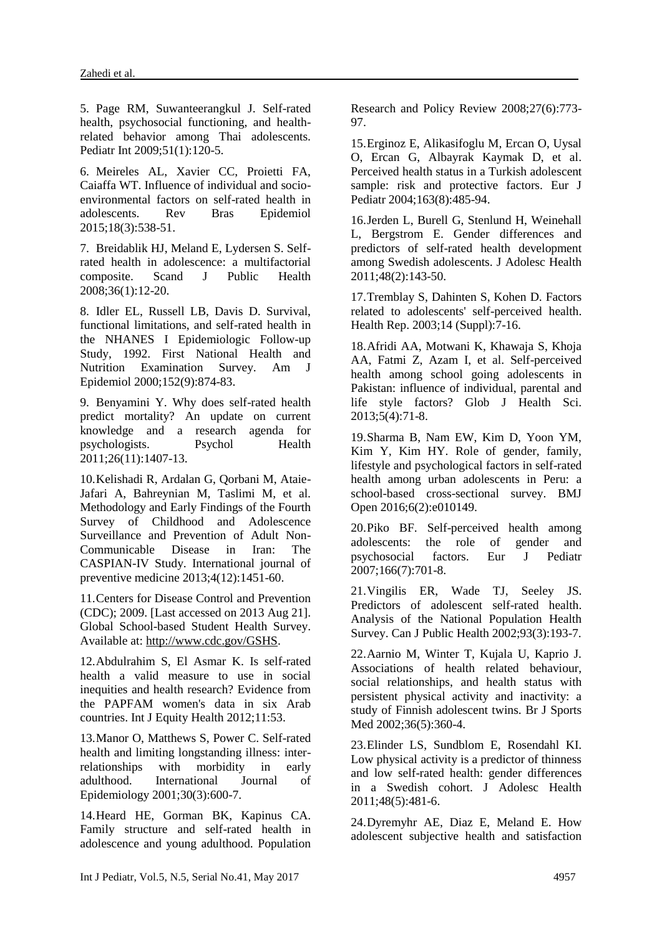5. Page RM, Suwanteerangkul J. Self-rated health, psychosocial functioning, and healthrelated behavior among Thai adolescents. Pediatr Int 2009;51(1):120-5.

6. Meireles AL, Xavier CC, Proietti FA, Caiaffa WT. Influence of individual and socioenvironmental factors on self-rated health in adolescents. Rev Bras Epidemiol 2015;18(3):538-51.

7. Breidablik HJ, Meland E, Lydersen S. Selfrated health in adolescence: a multifactorial composite. Scand J Public Health 2008;36(1):12-20.

8. Idler EL, Russell LB, Davis D. Survival, functional limitations, and self-rated health in the NHANES I Epidemiologic Follow-up Study, 1992. First National Health and Nutrition Examination Survey. Am J Epidemiol 2000;152(9):874-83.

9. Benyamini Y. Why does self-rated health predict mortality? An update on current knowledge and a research agenda for psychologists. Psychol Health 2011;26(11):1407-13.

10.Kelishadi R, Ardalan G, Qorbani M, Ataie-Jafari A, Bahreynian M, Taslimi M, et al. Methodology and Early Findings of the Fourth Survey of Childhood and Adolescence Surveillance and Prevention of Adult Non-Communicable Disease in Iran: The CASPIAN-IV Study. International journal of preventive medicine 2013;4(12):1451-60.

11.Centers for Disease Control and Prevention (CDC); 2009. [Last accessed on 2013 Aug 21]. Global School-based Student Health Survey. Available at: [http://www.cdc.gov/GSHS.](http://www.cdc.gov/GSHS)

12.Abdulrahim S, El Asmar K. Is self-rated health a valid measure to use in social inequities and health research? Evidence from the PAPFAM women's data in six Arab countries. Int J Equity Health 2012;11:53.

13.Manor O, Matthews S, Power C. Self-rated health and limiting longstanding illness: interrelationships with morbidity in early adulthood. International Journal of Epidemiology 2001;30(3):600-7.

14.Heard HE, Gorman BK, Kapinus CA. Family structure and self-rated health in adolescence and young adulthood. Population Research and Policy Review 2008;27(6):773- 97.

15.Erginoz E, Alikasifoglu M, Ercan O, Uysal O, Ercan G, Albayrak Kaymak D, et al. Perceived health status in a Turkish adolescent sample: risk and protective factors. Eur J Pediatr 2004;163(8):485-94.

16.Jerden L, Burell G, Stenlund H, Weinehall L, Bergstrom E. Gender differences and predictors of self-rated health development among Swedish adolescents. J Adolesc Health 2011;48(2):143-50.

17.Tremblay S, Dahinten S, Kohen D. Factors related to adolescents' self-perceived health. Health Rep. 2003;14 (Suppl):7-16.

18.Afridi AA, Motwani K, Khawaja S, Khoja AA, Fatmi Z, Azam I, et al. Self-perceived health among school going adolescents in Pakistan: influence of individual, parental and life style factors? Glob J Health Sci. 2013;5(4):71-8.

19.Sharma B, Nam EW, Kim D, Yoon YM, Kim Y, Kim HY. Role of gender, family, lifestyle and psychological factors in self-rated health among urban adolescents in Peru: a school-based cross-sectional survey. BMJ Open 2016;6(2):e010149.

20.Piko BF. Self-perceived health among adolescents: the role of gender and psychosocial factors. Eur J Pediatr 2007;166(7):701-8.

21.Vingilis ER, Wade TJ, Seeley JS. Predictors of adolescent self-rated health. Analysis of the National Population Health Survey. Can J Public Health 2002;93(3):193-7.

22.Aarnio M, Winter T, Kujala U, Kaprio J. Associations of health related behaviour, social relationships, and health status with persistent physical activity and inactivity: a study of Finnish adolescent twins. Br J Sports Med 2002;36(5):360-4.

23.Elinder LS, Sundblom E, Rosendahl KI. Low physical activity is a predictor of thinness and low self-rated health: gender differences in a Swedish cohort. J Adolesc Health 2011;48(5):481-6.

24.Dyremyhr AE, Diaz E, Meland E. How adolescent subjective health and satisfaction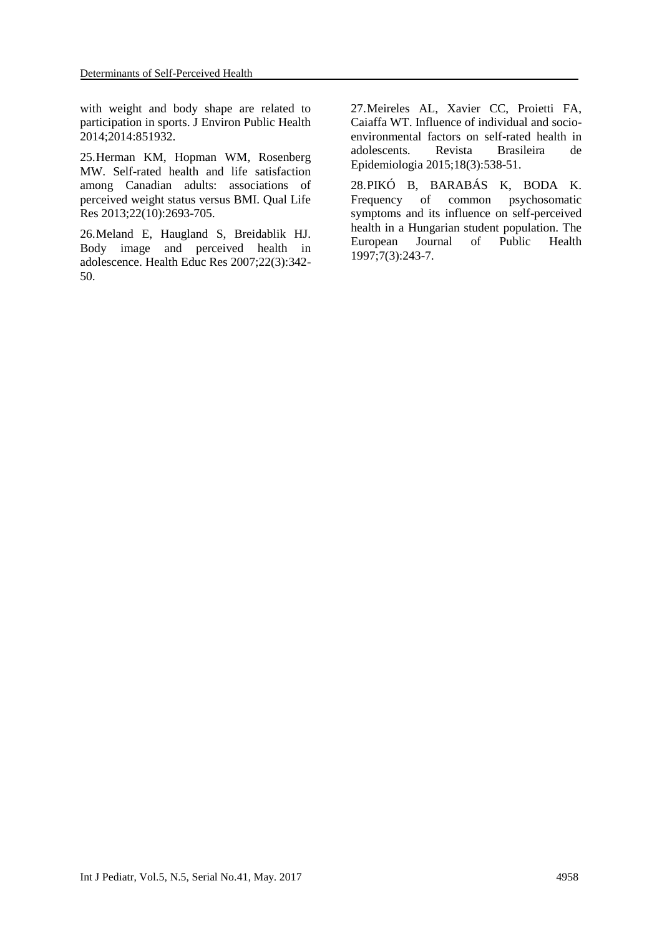with weight and body shape are related to participation in sports. J Environ Public Health 2014;2014:851932.

25.Herman KM, Hopman WM, Rosenberg MW. Self-rated health and life satisfaction among Canadian adults: associations of perceived weight status versus BMI. Qual Life Res 2013;22(10):2693-705.

26.Meland E, Haugland S, Breidablik HJ. Body image and perceived health in adolescence. Health Educ Res 2007;22(3):342- 50.

27.Meireles AL, Xavier CC, Proietti FA, Caiaffa WT. Influence of individual and socioenvironmental factors on self-rated health in adolescents. Revista Brasileira de Epidemiologia 2015;18(3):538-51.

28.PIKÓ B, BARABÁS K, BODA K. Frequency of common psychosomatic symptoms and its influence on self-perceived health in a Hungarian student population. The European Journal of Public Health 1997;7(3):243-7.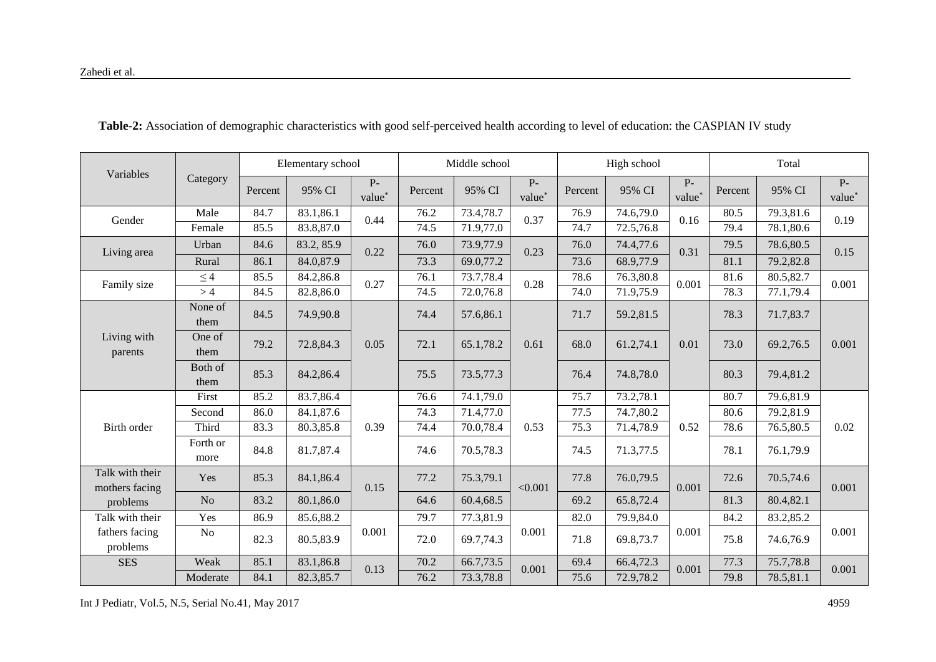| Variables                         |                  |         | Elementary school |                |         | Middle school |                 |         | High school |                | Total   |           |                |
|-----------------------------------|------------------|---------|-------------------|----------------|---------|---------------|-----------------|---------|-------------|----------------|---------|-----------|----------------|
|                                   | Category         | Percent | 95% CI            | $P-$<br>value* | Percent | 95% CI        | $P -$<br>value* | Percent | 95% CI      | $P-$<br>value* | Percent | 95% CI    | $P-$<br>value* |
| Gender                            | Male             | 84.7    | 83.1,86.1         | 0.44           | 76.2    | 73.4,78.7     | 0.37            | 76.9    | 74.6,79.0   | 0.16           | 80.5    | 79.3,81.6 | 0.19           |
|                                   | Female           | 85.5    | 83.8,87.0         |                | 74.5    | 71.9,77.0     |                 | 74.7    | 72.5,76.8   |                | 79.4    | 78.1,80.6 |                |
| Living area                       | Urban            | 84.6    | 83.2, 85.9        | 0.22           | 76.0    | 73.9,77.9     | 0.23            | 76.0    | 74.4,77.6   | 0.31           | 79.5    | 78.6,80.5 | 0.15           |
|                                   | Rural            | 86.1    | 84.0,87.9         |                | 73.3    | 69.0,77.2     |                 | 73.6    | 68.9,77.9   |                | 81.1    | 79.2,82.8 |                |
| Family size                       | $\leq 4$         | 85.5    | 84.2,86.8         | 0.27           | 76.1    | 73.7,78.4     | 0.28            | 78.6    | 76.3,80.8   | 0.001          | 81.6    | 80.5,82.7 | 0.001          |
|                                   | >4               | 84.5    | 82.8,86.0         |                | 74.5    | 72.0,76.8     |                 | 74.0    | 71.9,75.9   |                | 78.3    | 77.1,79.4 |                |
| Living with<br>parents            | None of<br>them  | 84.5    | 74.9,90.8         |                | 74.4    | 57.6,86.1     | 0.61            | 71.7    | 59.2,81.5   |                | 78.3    | 71.7,83.7 | 0.001          |
|                                   | One of<br>them   | 79.2    | 72.8,84.3         | 0.05           | 72.1    | 65.1,78.2     |                 | 68.0    | 61.2,74.1   | 0.01           | 73.0    | 69.2,76.5 |                |
|                                   | Both of<br>them  | 85.3    | 84.2,86.4         |                | 75.5    | 73.5,77.3     |                 | 76.4    | 74.8,78.0   |                | 80.3    | 79.4,81.2 |                |
|                                   | First            | 85.2    | 83.7,86.4         |                | 76.6    | 74.1,79.0     |                 | 75.7    | 73.2,78.1   |                | 80.7    | 79.6,81.9 |                |
|                                   | Second           | 86.0    | 84.1,87.6         |                | 74.3    | 71.4,77.0     |                 | 77.5    | 74.7,80.2   |                | 80.6    | 79.2,81.9 |                |
| Birth order                       | Third            | 83.3    | 80.3,85.8         | 0.39           | 74.4    | 70.0,78.4     | 0.53            | 75.3    | 71.4,78.9   | 0.52           | 78.6    | 76.5,80.5 | 0.02           |
|                                   | Forth or<br>more | 84.8    | 81.7,87.4         |                | 74.6    | 70.5,78.3     |                 | 74.5    | 71.3,77.5   |                | 78.1    | 76.1,79.9 |                |
| Talk with their<br>mothers facing | Yes              | 85.3    | 84.1,86.4         | 0.15           | 77.2    | 75.3,79.1     | < 0.001         | 77.8    | 76.0,79.5   | 0.001          | 72.6    | 70.5,74.6 | 0.001          |
| problems                          | No               | 83.2    | 80.1,86.0         |                | 64.6    | 60.4,68.5     |                 | 69.2    | 65.8,72.4   |                | 81.3    | 80.4,82.1 |                |
| Talk with their                   | Yes              | 86.9    | 85.6,88.2         |                | 79.7    | 77.3,81.9     |                 | 82.0    | 79.9,84.0   |                | 84.2    | 83.2,85.2 |                |
| fathers facing<br>problems        | N <sub>o</sub>   | 82.3    | 80.5,83.9         | 0.001          | 72.0    | 69.7,74.3     | 0.001           | 71.8    | 69.8,73.7   | 0.001          | 75.8    | 74.6,76.9 | 0.001          |
| <b>SES</b>                        | Weak             | 85.1    | 83.1,86.8         | 0.13           | 70.2    | 66.7,73.5     | 0.001           | 69.4    | 66.4,72.3   | 0.001          | 77.3    | 75.7,78.8 | 0.001          |
|                                   | Moderate         | 84.1    | 82.3,85.7         |                | 76.2    | 73.3,78.8     |                 | 75.6    | 72.9,78.2   |                | 79.8    | 78.5,81.1 |                |

 **Table-2:** Association of demographic characteristics with good self-perceived health according to level of education: the CASPIAN IV study

Int J Pediatr, Vol.5, N.5, Serial No.41, May 2017 4959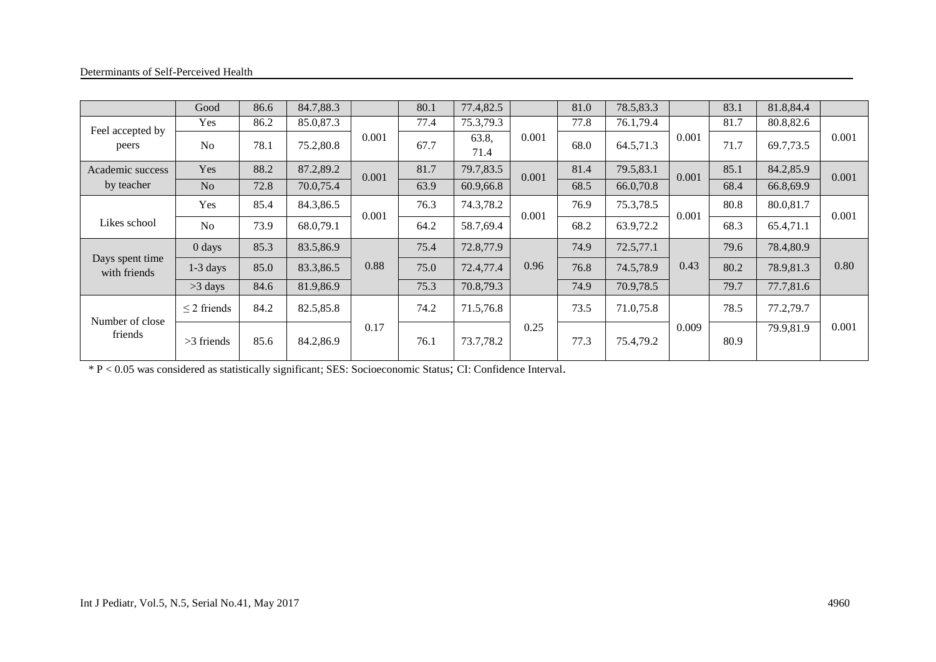|                                 | Good             | 86.6 | 84.7,88.3 |       | 80.1 | 77.4,82.5     |       | 81.0 | 78.5,83.3 |       | 83.1 | 81.8,84.4 |       |
|---------------------------------|------------------|------|-----------|-------|------|---------------|-------|------|-----------|-------|------|-----------|-------|
| Feel accepted by<br>peers       | Yes              | 86.2 | 85.0,87.3 |       | 77.4 | 75.3,79.3     |       | 77.8 | 76.1,79.4 |       | 81.7 | 80.8,82.6 |       |
|                                 | N <sub>0</sub>   | 78.1 | 75.2,80.8 | 0.001 | 67.7 | 63.8,<br>71.4 | 0.001 | 68.0 | 64.5,71.3 | 0.001 | 71.7 | 69.7,73.5 | 0.001 |
| Academic success                | Yes              | 88.2 | 87.2,89.2 | 0.001 | 81.7 | 79.7,83.5     | 0.001 | 81.4 | 79.5,83.1 | 0.001 | 85.1 | 84.2,85.9 | 0.001 |
| by teacher                      | N <sub>o</sub>   | 72.8 | 70.0,75.4 |       | 63.9 | 60.9,66.8     |       | 68.5 | 66.0,70.8 |       | 68.4 | 66.8,69.9 |       |
|                                 | Yes              | 85.4 | 84.3,86.5 |       | 76.3 | 74.3,78.2     | 0.001 | 76.9 | 75.3,78.5 | 0.001 | 80.8 | 80.0,81.7 | 0.001 |
| Likes school                    | N <sub>0</sub>   | 73.9 | 68.0,79.1 | 0.001 | 64.2 | 58.7,69.4     |       | 68.2 | 63.9,72.2 |       | 68.3 | 65.4,71.1 |       |
|                                 | $0$ days         | 85.3 | 83.5,86.9 |       | 75.4 | 72.8,77.9     |       | 74.9 | 72.5,77.1 |       | 79.6 | 78.4,80.9 |       |
| Days spent time<br>with friends | $1-3$ days       | 85.0 | 83.3,86.5 | 0.88  | 75.0 | 72.4,77.4     | 0.96  | 76.8 | 74.5,78.9 | 0.43  | 80.2 | 78.9,81.3 | 0.80  |
|                                 | $>3$ days        | 84.6 | 81.9,86.9 |       | 75.3 | 70.8,79.3     |       | 74.9 | 70.9,78.5 |       | 79.7 | 77.7,81.6 |       |
|                                 | $\leq$ 2 friends | 84.2 | 82.5,85.8 |       | 74.2 | 71.5,76.8     |       | 73.5 | 71.0,75.8 |       | 78.5 | 77.2,79.7 |       |
| Number of close<br>friends      | $>3$ friends     | 85.6 | 84.2,86.9 | 0.17  | 76.1 | 73.7,78.2     | 0.25  | 77.3 | 75.4,79.2 | 0.009 | 80.9 | 79.9,81.9 | 0.001 |

\* P < 0.05 was considered as statistically significant; SES: Socioeconomic Status; CI: Confidence Interval.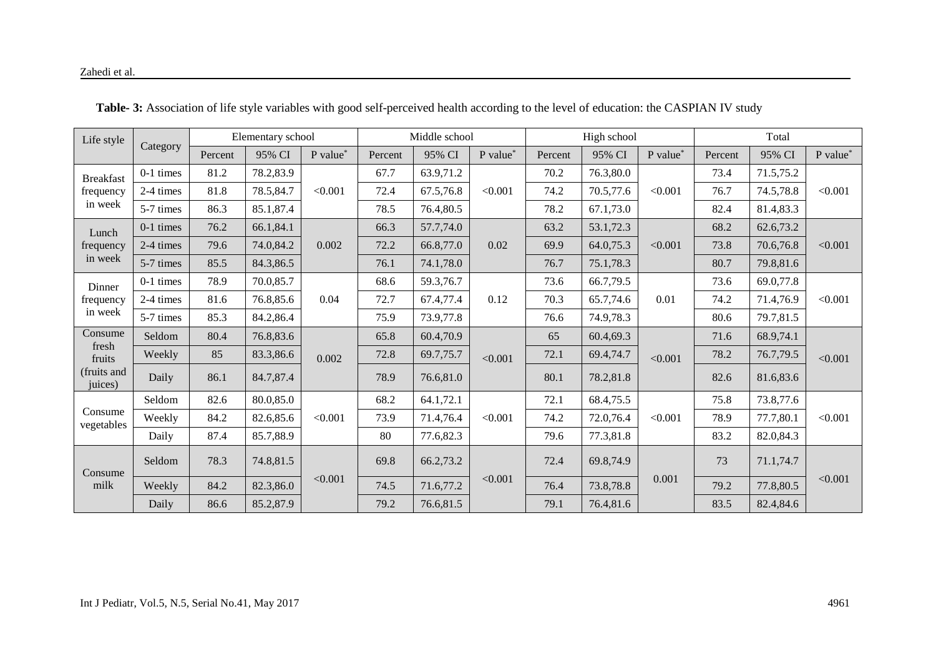| Life style             |             | Elementary school |           |                                                                     |         | Middle school |           |         | High school |           |         | Total     |          |  |
|------------------------|-------------|-------------------|-----------|---------------------------------------------------------------------|---------|---------------|-----------|---------|-------------|-----------|---------|-----------|----------|--|
|                        | Category    | Percent           | 95% CI    | P value*                                                            | Percent | 95% CI        | P value*  | Percent | 95% CI      | P value*  | Percent | 95% CI    | P value* |  |
| <b>Breakfast</b>       | $0-1$ times | 81.2              | 78.2,83.9 |                                                                     | 67.7    | 63.9,71.2     |           | 70.2    | 76.3,80.0   |           | 73.4    | 71.5,75.2 |          |  |
| frequency<br>in week   | 2-4 times   | 81.8              | 78.5,84.7 | < 0.001                                                             | 72.4    | 67.5,76.8     | < 0.001   | 74.2    | 70.5,77.6   | < 0.001   | 76.7    | 74.5,78.8 | < 0.001  |  |
|                        | 5-7 times   | 86.3              | 85.1,87.4 |                                                                     | 78.5    | 76.4,80.5     |           | 78.2    | 67.1,73.0   |           | 82.4    | 81.4,83.3 |          |  |
| Lunch                  | $0-1$ times | 76.2              | 66.1,84.1 |                                                                     | 66.3    | 57.7,74.0     | 0.02      | 63.2    | 53.1,72.3   |           | 68.2    | 62.6,73.2 | < 0.001  |  |
| frequency              | 2-4 times   | 79.6              | 74.0,84.2 | 0.002                                                               | 72.2    | 66.8,77.0     |           | 69.9    | 64.0,75.3   | < 0.001   | 73.8    | 70.6,76.8 |          |  |
| in week                | 5-7 times   | 85.5              | 84.3,86.5 |                                                                     | 76.1    | 74.1,78.0     |           | 76.7    | 75.1,78.3   |           | 80.7    | 79.8,81.6 |          |  |
| Dinner                 | $0-1$ times | 78.9              | 70.0,85.7 | 68.6<br>59.3,76.7<br>72.7<br>67.4,77.4<br>0.04<br>75.9<br>73.9,77.8 |         | 73.6          | 66.7,79.5 |         | 73.6        | 69.0,77.8 |         |           |          |  |
| frequency<br>in week   | 2-4 times   | 81.6              | 76.8,85.6 |                                                                     |         |               | 0.12      | 70.3    | 65.7,74.6   | 0.01      | 74.2    | 71.4,76.9 | < 0.001  |  |
|                        | 5-7 times   | 85.3              | 84.2,86.4 |                                                                     |         |               |           | 76.6    | 74.9,78.3   |           | 80.6    | 79.7,81.5 |          |  |
| Consume                | Seldom      | 80.4              | 76.8,83.6 | 0.002                                                               | 65.8    | 60.4,70.9     | < 0.001   | 65      | 60.4,69.3   |           | 71.6    | 68.9,74.1 | < 0.001  |  |
| fresh<br>fruits        | Weekly      | 85                | 83.3,86.6 |                                                                     | 72.8    | 69.7,75.7     |           | 72.1    | 69.4,74.7   | < 0.001   | 78.2    | 76.7,79.5 |          |  |
| (fruits and<br>juices) | Daily       | 86.1              | 84.7,87.4 |                                                                     | 78.9    | 76.6,81.0     |           | 80.1    | 78.2,81.8   |           | 82.6    | 81.6,83.6 |          |  |
|                        | Seldom      | 82.6              | 80.0,85.0 |                                                                     | 68.2    | 64.1,72.1     |           | 72.1    | 68.4,75.5   |           | 75.8    | 73.8,77.6 |          |  |
| Consume<br>vegetables  | Weekly      | 84.2              | 82.6,85.6 | < 0.001                                                             | 73.9    | 71.4,76.4     | < 0.001   | 74.2    | 72.0,76.4   | < 0.001   | 78.9    | 77.7,80.1 | < 0.001  |  |
|                        | Daily       | 87.4              | 85.7,88.9 |                                                                     | 80      | 77.6,82.3     |           | 79.6    | 77.3,81.8   |           | 83.2    | 82.0,84.3 |          |  |
| Consume                | Seldom      | 78.3              | 74.8,81.5 |                                                                     | 69.8    | 66.2,73.2     |           | 72.4    | 69.8,74.9   |           | 73      | 71.1,74.7 | < 0.001  |  |
| milk                   | Weekly      | 84.2              | 82.3,86.0 | < 0.001                                                             | 74.5    | 71.6,77.2     | < 0.001   | 76.4    | 73.8,78.8   | 0.001     | 79.2    | 77.8,80.5 |          |  |
|                        | Daily       | 86.6              | 85.2,87.9 |                                                                     | 79.2    | 76.6,81.5     |           | 79.1    | 76.4,81.6   |           | 83.5    | 82.4,84.6 |          |  |

 **Table- 3:** Association of life style variables with good self-perceived health according to the level of education: the CASPIAN IV study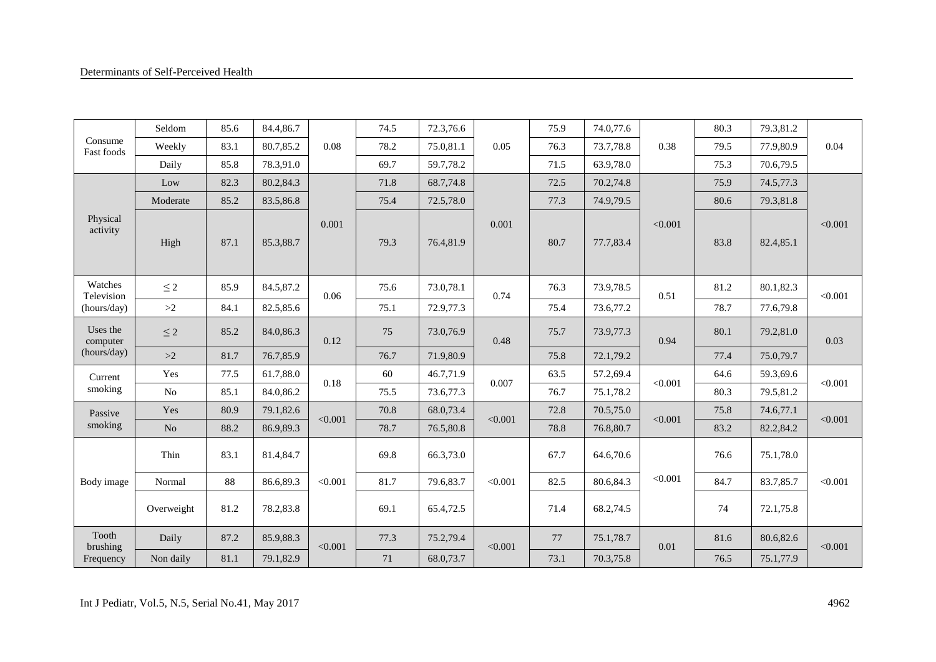|                           | Seldom     | 85.6 | 84.4,86.7 |         | 74.5 | 72.3,76.6 |         | 75.9 | 74.0,77.6 |         | 80.3 | 79.3,81.2 |         |
|---------------------------|------------|------|-----------|---------|------|-----------|---------|------|-----------|---------|------|-----------|---------|
| Consume<br>Fast foods     | Weekly     | 83.1 | 80.7,85.2 | 0.08    | 78.2 | 75.0,81.1 | 0.05    | 76.3 | 73.7,78.8 | 0.38    | 79.5 | 77.9,80.9 | 0.04    |
|                           | Daily      | 85.8 | 78.3,91.0 |         | 69.7 | 59.7,78.2 |         | 71.5 | 63.9,78.0 |         | 75.3 | 70.6,79.5 |         |
|                           | Low        | 82.3 | 80.2,84.3 |         | 71.8 | 68.7,74.8 |         | 72.5 | 70.2,74.8 |         | 75.9 | 74.5,77.3 |         |
|                           | Moderate   | 85.2 | 83.5,86.8 |         | 75.4 | 72.5,78.0 |         | 77.3 | 74.9,79.5 |         | 80.6 | 79.3,81.8 |         |
| Physical<br>activity      | High       | 87.1 | 85.3,88.7 | 0.001   | 79.3 | 76.4,81.9 | 0.001   | 80.7 | 77.7,83.4 | < 0.001 | 83.8 | 82.4,85.1 | < 0.001 |
| Watches                   | $\leq$ 2   | 85.9 | 84.5,87.2 |         | 75.6 | 73.0,78.1 |         | 76.3 | 73.9,78.5 |         | 81.2 | 80.1,82.3 |         |
| Television<br>(hours/day) | >2         | 84.1 | 82.5,85.6 | 0.06    | 75.1 | 72.9,77.3 | 0.74    | 75.4 | 73.6,77.2 | 0.51    | 78.7 | 77.6,79.8 | < 0.001 |
| Uses the<br>computer      | $\leq 2$   | 85.2 | 84.0,86.3 | 0.12    | 75   | 73.0,76.9 | 0.48    | 75.7 | 73.9,77.3 | 0.94    | 80.1 | 79.2,81.0 | 0.03    |
| (hours/day)               | >2         | 81.7 | 76.7,85.9 |         | 76.7 | 71.9,80.9 |         | 75.8 | 72.1,79.2 |         | 77.4 | 75.0,79.7 |         |
| Current                   | Yes        | 77.5 | 61.7,88.0 | 0.18    | 60   | 46.7,71.9 | 0.007   | 63.5 | 57.2,69.4 | < 0.001 | 64.6 | 59.3,69.6 | < 0.001 |
| smoking                   | $\rm No$   | 85.1 | 84.0,86.2 |         | 75.5 | 73.6,77.3 |         | 76.7 | 75.1,78.2 |         | 80.3 | 79.5,81.2 |         |
| Passive                   | Yes        | 80.9 | 79.1,82.6 | < 0.001 | 70.8 | 68.0,73.4 | < 0.001 | 72.8 | 70.5,75.0 | < 0.001 | 75.8 | 74.6,77.1 | < 0.001 |
| smoking                   | $\rm No$   | 88.2 | 86.9,89.3 |         | 78.7 | 76.5,80.8 |         | 78.8 | 76.8,80.7 |         | 83.2 | 82.2,84.2 |         |
|                           | Thin       | 83.1 | 81.4,84.7 |         | 69.8 | 66.3,73.0 |         | 67.7 | 64.6,70.6 |         | 76.6 | 75.1,78.0 |         |
| Body image                | Normal     | 88   | 86.6,89.3 | < 0.001 | 81.7 | 79.6,83.7 | < 0.001 | 82.5 | 80.6,84.3 | < 0.001 | 84.7 | 83.7,85.7 | < 0.001 |
|                           | Overweight | 81.2 | 78.2,83.8 |         | 69.1 | 65.4,72.5 |         | 71.4 | 68.2,74.5 |         | 74   | 72.1,75.8 |         |
| Tooth<br>brushing         | Daily      | 87.2 | 85.9,88.3 | < 0.001 | 77.3 | 75.2,79.4 | < 0.001 | 77   | 75.1,78.7 | 0.01    | 81.6 | 80.6,82.6 | < 0.001 |
| Frequency                 | Non daily  | 81.1 | 79.1,82.9 |         | 71   | 68.0,73.7 |         | 73.1 | 70.3,75.8 |         | 76.5 | 75.1,77.9 |         |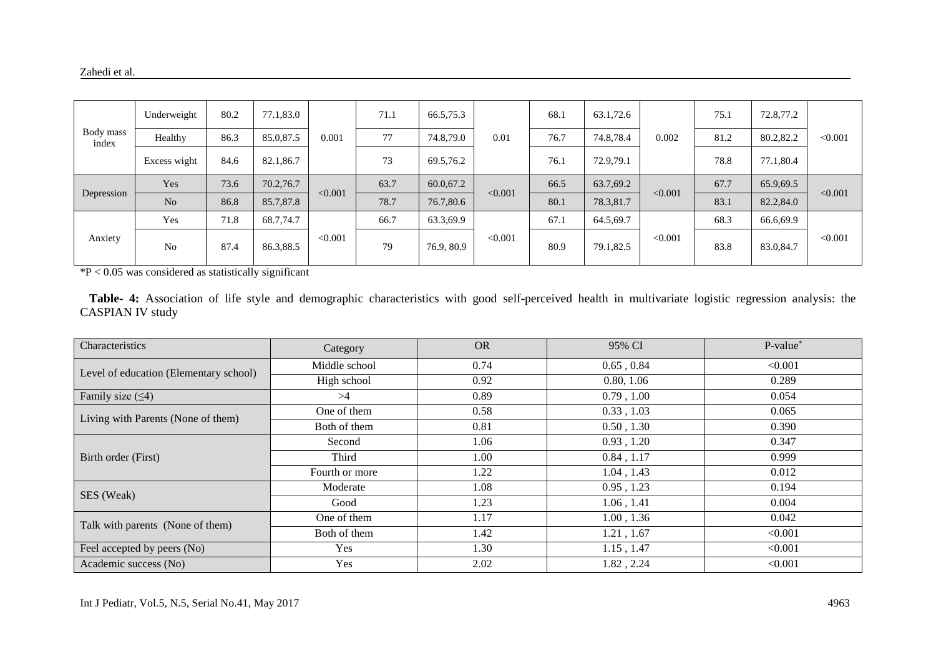| Body mass<br>index | Underweight    | 80.2 | 77.1,83.0 |         | 71.1 | 66.5,75.3  |         | 68.1 | 63.1,72.6 |         | 75.1 | 72.8,77.2 | < 0.001 |
|--------------------|----------------|------|-----------|---------|------|------------|---------|------|-----------|---------|------|-----------|---------|
|                    | Healthy        | 86.3 | 85.0,87.5 | 0.001   | 77   | 74.8,79.0  | 0.01    | 76.7 | 74.8,78.4 | 0.002   | 81.2 | 80.2,82.2 |         |
|                    | Excess wight   | 84.6 | 82.1,86.7 |         | 73   | 69.5,76.2  |         | 76.1 | 72.9,79.1 |         | 78.8 | 77.1,80.4 |         |
|                    | Yes            | 73.6 | 70.2,76.7 | < 0.001 | 63.7 | 60.0,67.2  |         | 66.5 | 63.7,69.2 | < 0.001 | 67.7 | 65.9,69.5 | < 0.001 |
| Depression         | No             | 86.8 | 85.7,87.8 |         | 78.7 | 76.7,80.6  | < 0.001 | 80.1 | 78.3,81.7 |         | 83.1 | 82.2,84.0 |         |
|                    | Yes            | 71.8 | 68.7,74.7 |         | 66.7 | 63.3,69.9  |         | 67.1 | 64.5,69.7 |         | 68.3 | 66.6,69.9 |         |
| Anxiety            | N <sub>0</sub> | 87.4 | 86.3,88.5 | < 0.001 | 79   | 76.9, 80.9 | < 0.001 | 80.9 | 79.1,82.5 | < 0.001 | 83.8 | 83.0,84.7 | < 0.001 |

 $*P < 0.05$  was considered as statistically significant

 **Table- 4:** Association of life style and demographic characteristics with good self-perceived health in multivariate logistic regression analysis: the CASPIAN IV study

| Characteristics                        | Category       | <b>OR</b> | 95% CI          | P-value* |
|----------------------------------------|----------------|-----------|-----------------|----------|
| Level of education (Elementary school) | Middle school  | 0.74      | 0.65, 0.84      | < 0.001  |
|                                        | High school    | 0.92      | 0.80, 1.06      | 0.289    |
| Family size $( \leq 4)$                | >4             | 0.89      | 0.79, 1.00      | 0.054    |
| Living with Parents (None of them)     | One of them    | 0.58      | 0.33, 1.03      | 0.065    |
|                                        | Both of them   | 0.81      | 0.50, 1.30      | 0.390    |
|                                        | Second         | 1.06      | 0.93, 1.20      | 0.347    |
| Birth order (First)                    | Third          | 1.00      | 0.84, 1.17      | 0.999    |
|                                        | Fourth or more | 1.22      | 1.04, 1.43      | 0.012    |
| SES (Weak)                             | Moderate       | 1.08      | 0.95, 1.23      | 0.194    |
|                                        | Good           | 1.23      | 1.06, 1.41      | 0.004    |
| Talk with parents (None of them)       | One of them    | 1.17      | 1.00, 1.36      | 0.042    |
|                                        | Both of them   | 1.42      | 1.21, 1.67      | < 0.001  |
| Feel accepted by peers (No)            | Yes            | 1.30      | $1.15$ , $1.47$ | < 0.001  |
| Academic success (No)                  | Yes            | 2.02      | 1.82, 2.24      | < 0.001  |